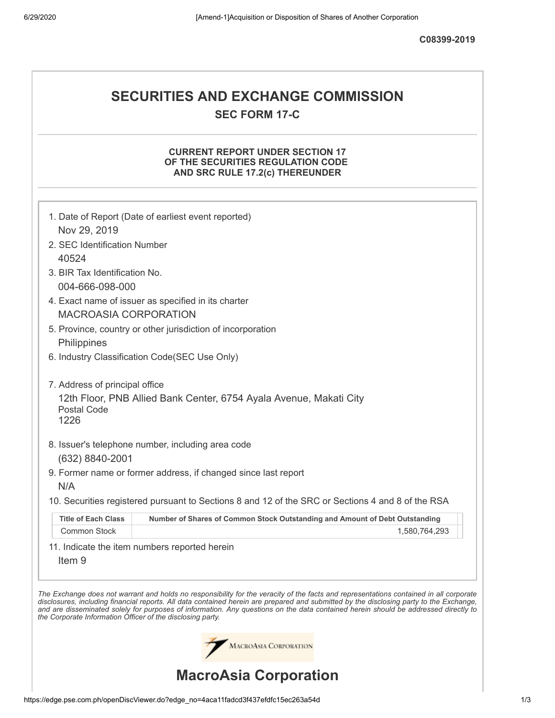**C08399-2019**

## **SECURITIES AND EXCHANGE COMMISSION SEC FORM 17-C**

## **CURRENT REPORT UNDER SECTION 17 OF THE SECURITIES REGULATION CODE AND SRC RULE 17.2(c) THEREUNDER**

|                                                                                   | 1. Date of Report (Date of earliest event reported)                                                                                                                                                                                                                            |  |  |  |  |
|-----------------------------------------------------------------------------------|--------------------------------------------------------------------------------------------------------------------------------------------------------------------------------------------------------------------------------------------------------------------------------|--|--|--|--|
| Nov 29, 2019                                                                      |                                                                                                                                                                                                                                                                                |  |  |  |  |
| 2. SEC Identification Number                                                      |                                                                                                                                                                                                                                                                                |  |  |  |  |
| 40524                                                                             |                                                                                                                                                                                                                                                                                |  |  |  |  |
| 3. BIR Tax Identification No.                                                     |                                                                                                                                                                                                                                                                                |  |  |  |  |
| 004-666-098-000                                                                   |                                                                                                                                                                                                                                                                                |  |  |  |  |
| 4. Exact name of issuer as specified in its charter                               |                                                                                                                                                                                                                                                                                |  |  |  |  |
| <b>MACROASIA CORPORATION</b>                                                      |                                                                                                                                                                                                                                                                                |  |  |  |  |
| 5. Province, country or other jurisdiction of incorporation                       |                                                                                                                                                                                                                                                                                |  |  |  |  |
| Philippines                                                                       |                                                                                                                                                                                                                                                                                |  |  |  |  |
| 6. Industry Classification Code(SEC Use Only)                                     |                                                                                                                                                                                                                                                                                |  |  |  |  |
|                                                                                   |                                                                                                                                                                                                                                                                                |  |  |  |  |
| 7. Address of principal office                                                    |                                                                                                                                                                                                                                                                                |  |  |  |  |
| 12th Floor, PNB Allied Bank Center, 6754 Ayala Avenue, Makati City<br>Postal Code |                                                                                                                                                                                                                                                                                |  |  |  |  |
| 1226                                                                              |                                                                                                                                                                                                                                                                                |  |  |  |  |
|                                                                                   |                                                                                                                                                                                                                                                                                |  |  |  |  |
|                                                                                   | 8. Issuer's telephone number, including area code                                                                                                                                                                                                                              |  |  |  |  |
| (632) 8840-2001                                                                   |                                                                                                                                                                                                                                                                                |  |  |  |  |
|                                                                                   | 9. Former name or former address, if changed since last report                                                                                                                                                                                                                 |  |  |  |  |
| N/A                                                                               |                                                                                                                                                                                                                                                                                |  |  |  |  |
|                                                                                   | 10. Securities registered pursuant to Sections 8 and 12 of the SRC or Sections 4 and 8 of the RSA                                                                                                                                                                              |  |  |  |  |
| <b>Title of Each Class</b>                                                        | Number of Shares of Common Stock Outstanding and Amount of Debt Outstanding                                                                                                                                                                                                    |  |  |  |  |
| <b>Common Stock</b>                                                               | 1,580,764,293                                                                                                                                                                                                                                                                  |  |  |  |  |
|                                                                                   | 11. Indicate the item numbers reported herein                                                                                                                                                                                                                                  |  |  |  |  |
| Item <sub>9</sub>                                                                 |                                                                                                                                                                                                                                                                                |  |  |  |  |
|                                                                                   |                                                                                                                                                                                                                                                                                |  |  |  |  |
|                                                                                   | The Exchange does not warrant and holds no responsibility for the veracity of the facts and representations contained in all corporate                                                                                                                                         |  |  |  |  |
|                                                                                   | disclosures, including financial reports. All data contained herein are prepared and submitted by the disclosing party to the Exchange,<br>and are disseminated solely for purposes of information. Any questions on the data contained herein should be addressed directly to |  |  |  |  |
| the Corporate Information Officer of the disclosing party.                        |                                                                                                                                                                                                                                                                                |  |  |  |  |
|                                                                                   |                                                                                                                                                                                                                                                                                |  |  |  |  |
| MACROASIA CORPORATION                                                             |                                                                                                                                                                                                                                                                                |  |  |  |  |
|                                                                                   |                                                                                                                                                                                                                                                                                |  |  |  |  |
| <b>MacroAsia Corporation</b>                                                      |                                                                                                                                                                                                                                                                                |  |  |  |  |

https://edge.pse.com.ph/openDiscViewer.do?edge\_no=4aca11fadcd3f437efdfc15ec263a54d 1/3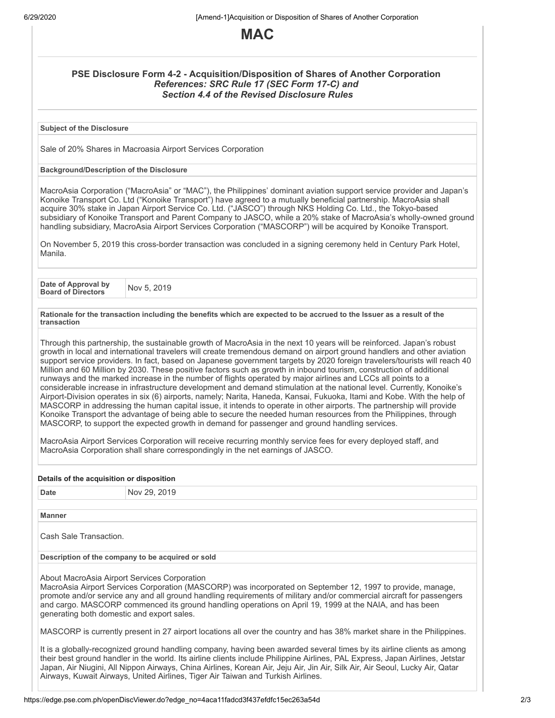

## **PSE Disclosure Form 4-2 - Acquisition/Disposition of Shares of Another Corporation** *References: SRC Rule 17 (SEC Form 17-C) and Section 4.4 of the Revised Disclosure Rules*

**Subject of the Disclosure**

Sale of 20% Shares in Macroasia Airport Services Corporation

## **Background/Description of the Disclosure**

MacroAsia Corporation ("MacroAsia" or "MAC"), the Philippines' dominant aviation support service provider and Japan's Konoike Transport Co. Ltd ("Konoike Transport") have agreed to a mutually beneficial partnership. MacroAsia shall acquire 30% stake in Japan Airport Service Co. Ltd. ("JASCO") through NKS Holding Co. Ltd., the Tokyo-based subsidiary of Konoike Transport and Parent Company to JASCO, while a 20% stake of MacroAsia's wholly-owned ground handling subsidiary, MacroAsia Airport Services Corporation ("MASCORP") will be acquired by Konoike Transport.

On November 5, 2019 this cross-border transaction was concluded in a signing ceremony held in Century Park Hotel, Manila.

**Date of Approval by Board of Directors** Nov 5, <sup>2019</sup>

Rationale for the transaction including the benefits which are expected to be accrued to the Issuer as a result of the **transaction**

Through this partnership, the sustainable growth of MacroAsia in the next 10 years will be reinforced. Japan's robust growth in local and international travelers will create tremendous demand on airport ground handlers and other aviation support service providers. In fact, based on Japanese government targets by 2020 foreign travelers/tourists will reach 40 Million and 60 Million by 2030. These positive factors such as growth in inbound tourism, construction of additional runways and the marked increase in the number of flights operated by major airlines and LCCs all points to a considerable increase in infrastructure development and demand stimulation at the national level. Currently, Konoike's Airport-Division operates in six (6) airports, namely; Narita, Haneda, Kansai, Fukuoka, Itami and Kobe. With the help of MASCORP in addressing the human capital issue, it intends to operate in other airports. The partnership will provide Konoike Transport the advantage of being able to secure the needed human resources from the Philippines, through MASCORP, to support the expected growth in demand for passenger and ground handling services.

MacroAsia Airport Services Corporation will receive recurring monthly service fees for every deployed staff, and MacroAsia Corporation shall share correspondingly in the net earnings of JASCO.

| Details of the acquisition or disposition                                                                                                                                                                                                                                                                                                                                                                                                                                   |              |  |  |  |
|-----------------------------------------------------------------------------------------------------------------------------------------------------------------------------------------------------------------------------------------------------------------------------------------------------------------------------------------------------------------------------------------------------------------------------------------------------------------------------|--------------|--|--|--|
| Date                                                                                                                                                                                                                                                                                                                                                                                                                                                                        | Nov 29, 2019 |  |  |  |
|                                                                                                                                                                                                                                                                                                                                                                                                                                                                             |              |  |  |  |
| <b>Manner</b>                                                                                                                                                                                                                                                                                                                                                                                                                                                               |              |  |  |  |
| Cash Sale Transaction.                                                                                                                                                                                                                                                                                                                                                                                                                                                      |              |  |  |  |
| Description of the company to be acquired or sold                                                                                                                                                                                                                                                                                                                                                                                                                           |              |  |  |  |
| About MacroAsia Airport Services Corporation<br>MacroAsia Airport Services Corporation (MASCORP) was incorporated on September 12, 1997 to provide, manage,<br>promote and/or service any and all ground handling requirements of military and/or commercial aircraft for passengers<br>and cargo. MASCORP commenced its ground handling operations on April 19, 1999 at the NAIA, and has been<br>generating both domestic and export sales.                               |              |  |  |  |
| MASCORP is currently present in 27 airport locations all over the country and has 38% market share in the Philippines.                                                                                                                                                                                                                                                                                                                                                      |              |  |  |  |
| It is a globally-recognized ground handling company, having been awarded several times by its airline clients as among<br>their best ground handler in the world. Its airline clients include Philippine Airlines, PAL Express, Japan Airlines, Jetstar<br>Japan, Air Niugini, All Nippon Airways, China Airlines, Korean Air, Jeju Air, Jin Air, Silk Air, Air Seoul, Lucky Air, Qatar<br>Airways, Kuwait Airways, United Airlines, Tiger Air Taiwan and Turkish Airlines. |              |  |  |  |